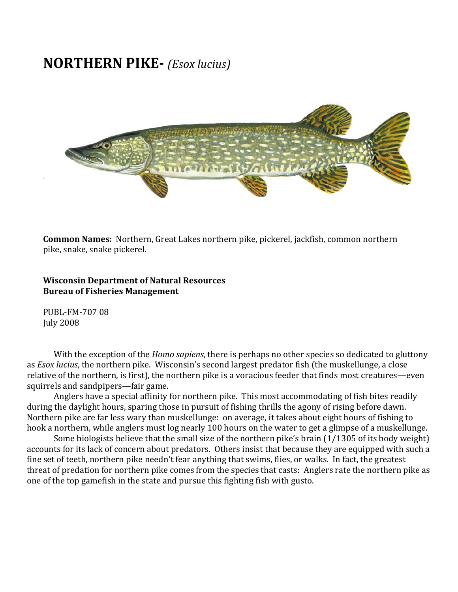## **NORTHERN PIKE** *(Esox lucius)*



**ommon Names:** Northern, Great Lakes northern pike, pickerel, jackfish, common northern **C** pike, snake, snake pickerel.

**Wisconsin Department of Natural Resources Bureau of Fisher ies Management**

PUBL-FM-707 08 July 2008

With the exception of the *Homo sapiens*, there is perhaps no other species so dedicated to gluttony as *Esox lucius*, the northern pike. Wisconsin's second largest predator fish (the muskellunge, a close relative of the northern, is first), the northern pike is a voracious feeder that finds most creatures—even squirrels and sandpipers—fair game.

Anglers have a special affinity for northern pike. This most accommodating of fish bites readily during the daylight hours, sparing those in pursuit of fishing thrills the agony of rising before dawn. Northern pike are far less wary than muskellunge: on average, it takes about eight hours of fishing to hook a northern, while anglers must log nearly 100 hours on the water to get a glimpse of a muskellunge.

Some biologists believe that the small size of the northern pike's brain (1/1305 of its body weight) accounts for its lack of concern about predators. Others insist that because they are equipped with such a fine set of teeth, northern pike needn't fear anything that swims, flies, or walks. In fact, the greatest threat of predation for northern pike comes from the species that casts: Anglers rate the northern pike as one of the top gamefish in the state and pursue this fighting fish with gusto.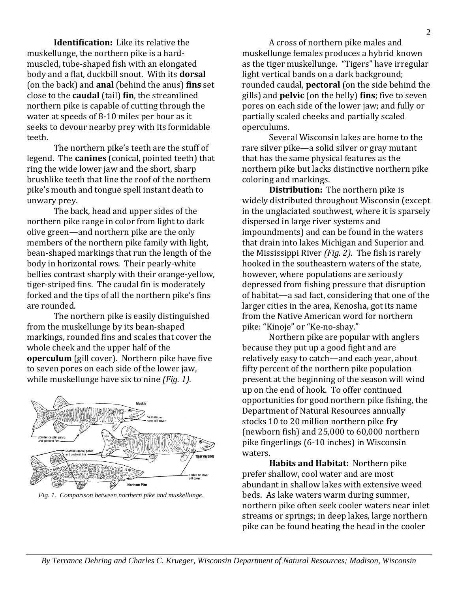**Identification:** Like its relative the muskellunge, the northern pike is a hard‐ muscled, tube‐shaped fish with an elongated body and a flat, duckbill snout. With its **dorsal** (on the back) and **anal** (behind the anus) **fins** set close to the **caudal** (tail) **fin**, the streamlined northern pike is capable of cutting through the water at speeds of 8-10 miles per hour as it seeks to devour nearby prey with its formidable teeth.

The northern pike's teeth are the stuff of legend. The **canines** (conical, pointed teeth) that ring the wide lower jaw and the short, sharp brushlike teeth that line the roof of the northern pike's mouth and tongue spell instant death to unwary prey.

The back, head and upper sides of the northern pike range in color from light to dark olive green—and northern pike are the only members of the northern pike family with light, bean‐shaped markings that run the length of the body in horizontal rows. Their pearly‐white bellies contrast sharply with their orange‐yellow, tiger‐striped fins. The caudal fin is moderately forked and the tips of all the northern pike's fins are rounded.

The northern pike is easily distinguished from the muskellunge by its bean‐shaped markings, rounded fins and scales that cover the whole cheek and the upper half of the **operculum** (gill cover). Northern pike have five to seven pores on each side of the lower jaw, while muskellunge have six to nine *(Fig. 1).*



*Fig. 1. Comparison between northern pike and muskellunge.* 

A cross of northern pike males and muskellunge females produces a hybrid known as the tiger muskellunge. "Tigers" have irregular light vertical bands on a dark background; rounded caudal, **pectoral** (on the side behind the gills) and **pelvic** (on the belly) **fins**; five to seven pores on each side of the lower jaw; and fully or partially scaled cheeks and partially scaled operculums.

Several Wisconsin lakes are home to the rare silver pike—a solid silver or gray mutant that has the same physical features as the northern pike but lacks distinctive northern pike coloring and markings.

**Distribution:** The northern pike is widely distributed throughout Wisconsin (except in the unglaciated southwest, where it is sparsely dispersed in large river systems and impoundments) and can be found in the waters that drain into lakes Michigan and Superior and the Mississippi River *(Fig. 2).* The fish is rarely hooked in the southeastern waters of the state, however, where populations are seriously depressed from fishing pressure that disruption of habitat—a sad fact, considering that one of the larger cities in the area, Kenosha, got its name from the Native American word for northern pike: "Kinoje" or "Ke‐no‐shay."

Northern pike are popular with anglers because they put up a good fight and are relatively easy to catch—and each year, about fifty percent of the northern pike population present at the beginning of the season will wind up on the end of hook. To offer continued opportunities for good northern pike fishing, the Department of Natural Resources annually stocks 10 to 20 million northern pike **fry** (newborn fish) and 25,000 to 60,000 northern pike fingerlings (6‐10 inches) in Wisconsin waters.

**Habits and Habitat:** Northern pike prefer shallow, cool water and are most abundant in shallow lakes with extensive weed beds. As lake waters warm during summer, northern pike often seek cooler waters near inlet streams or springs; in deep lakes, large northern pike can be found beating the head in the cooler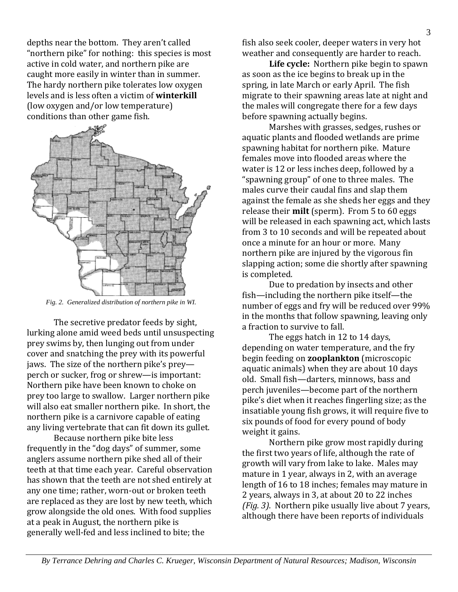depths near the bottom. They aren't called "northern pike" for nothing: this species is most active in cold water, and northern pike are caught more easily in winter than in summer. The hardy northern pike tolerates low oxygen levels and is less often a victim of **winterkill** (low oxygen and/or low temperature) conditions than other game fish.



*Fig. 2. Generalized distribution of northern pike in WI.* 

The secretive predator feeds by sight, lurking alone amid weed beds until unsuspecting prey swims by, then lunging out from under cover and snatching the prey with its powerful jaws. The size of the northern pike's prey perch or sucker, frog or shrew—is important: Northern pike have been known to choke on prey too large to swallow. Larger northern pike will also eat smaller northern pike. In short, the northern pike is a carnivore capable of eating any living vertebrate that can fit down its gullet.

Because northern pike bite less frequently in the "dog days" of summer, some anglers assume northern pike shed all of their teeth at that time each year. Careful observation has shown that the teeth are not shed entirely at any one time; rather, worn‐out or broken teeth are replaced as they are lost by new teeth, which grow alongside the old ones. With food supplies at a peak in August, the northern pike is generally well‐fed and less inclined to bite; the

fish also seek cooler, deeper waters in very hot weather and consequently are harder to reach.

**Life cycle:** Northern pike begin to spawn as soon as the ice begins to break up in the spring, in late March or early April. The fish migrate to their spawning areas late at night and the males will congregate there for a few days before spawning actually begins.

Marshes with grasses, sedges, rushes or aquatic plants and flooded wetlands are prime spawning habitat for northern pike. Mature females move into flooded areas where the water is 12 or less inches deep, followed by a "spawning group" of one to three males. The males curve their caudal fins and slap them against the female as she sheds her eggs and they release their **milt** (sperm). From 5 to 60 eggs will be released in each spawning act, which lasts from 3 to 10 seconds and will be repeated about once a minute for an hour or more. Many northern pike are injured by the vigorous fin slapping action; some die shortly after spawning is completed.

Due to predation by insects and other fish—including the northern pike itself—the number of eggs and fry will be reduced over 99% in the months that follow spawning, leaving only a fraction to survive to fall.

The eggs hatch in 12 to 14 days, depending on water temperature, and the fry begin feeding on **zooplankton** (microscopic aquatic animals) when they are about 10 days old. Small fish—darters, minnows, bass and perch juveniles—become part of the northern pike's diet when it reaches fingerling size; as the insatiable young fish grows, it will require five to six pounds of food for every pound of body weight it gains.

Northern pike grow most rapidly during the first two years of life, although the rate of growth will vary from lake to lake. Males may mature in 1 year, always in 2, with an average length of 16 to 18 inches; females may mature in 2 years, always in 3, at about 20 to 22 inches *(Fig. 3)*. Northern pike usually live about 7 years, although there have been reports of individuals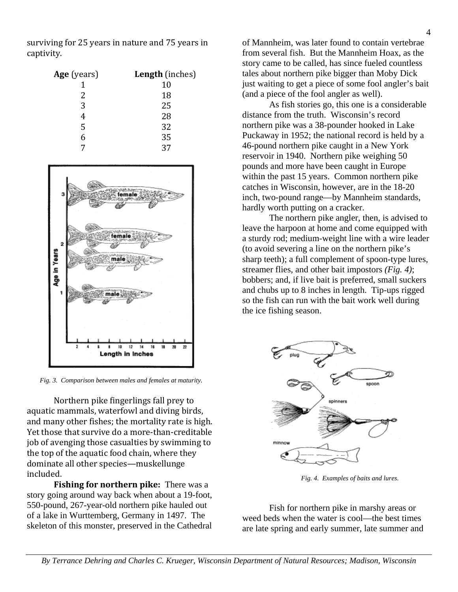surviving for 25 years in nature and 75 years in captivity.

| Age (years) | Length (inches) |
|-------------|-----------------|
|             | 10              |
| 2           | 18              |
| 3           | 25              |
|             | 28              |
| 5           | 32              |
| 6           | 35              |
|             |                 |



*Fig. 3. Comparison between males and females at maturity.* 

Northern pike fingerlings fall prey to aquatic mammals, waterfowl and diving birds, and many other fishes; the mortality rate is high. Yet those that survive do a more-than-creditable job of avenging those casualties by swimming to the top of the aquatic food chain, where they dominate all other species—muskellunge included.

**Fishing for northern pike:** There was a story going around way back when about a 19-foot, 550-pound, 267-year-old northern pike hauled out of a lake in Wurttemberg, Germany in 1497. The skeleton of this monster, preserved in the Cathedral

of Mannheim, was later found to contain vertebrae from several fish. But the Mannheim Hoax, as the story came to be called, has since fueled countless tales about northern pike bigger than Moby Dick just waiting to get a piece of some fool angler's bait (and a piece of the fool angler as well).

As fish stories go, this one is a considerable distance from the truth. Wisconsin's record northern pike was a 38-pounder hooked in Lake Puckaway in 1952; the national record is held by a 46-pound northern pike caught in a New York reservoir in 1940. Northern pike weighing 50 pounds and more have been caught in Europe within the past 15 years. Common northern pike catches in Wisconsin, however, are in the 18-20 inch, two-pound range—by Mannheim standards, hardly worth putting on a cracker.

The northern pike angler, then, is advised to leave the harpoon at home and come equipped with a sturdy rod; medium-weight line with a wire leader (to avoid severing a line on the northern pike's sharp teeth); a full complement of spoon-type lures, streamer flies, and other bait impostors *(Fig. 4)*; bobbers; and, if live bait is preferred, small suckers and chubs up to 8 inches in length. Tip-ups rigged so the fish can run with the bait work well during the ice fishing season.



*Fig. 4. Examples of baits and lures.* 

Fish for northern pike in marshy areas or weed beds when the water is cool—the best times are late spring and early summer, late summer and